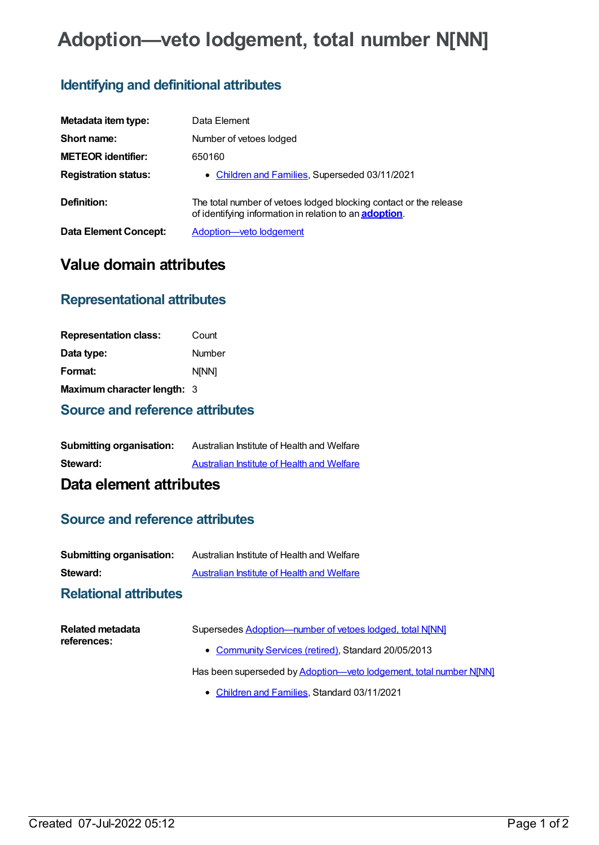# **Adoption—veto lodgement, total number N[NN]**

# **Identifying and definitional attributes**

| Metadata item type:          | Data Element                                                                                                                        |
|------------------------------|-------------------------------------------------------------------------------------------------------------------------------------|
| Short name:                  | Number of vetoes lodged                                                                                                             |
| <b>METEOR identifier:</b>    | 650160                                                                                                                              |
| <b>Registration status:</b>  | • Children and Families, Superseded 03/11/2021                                                                                      |
| Definition:                  | The total number of vetoes lodged blocking contact or the release<br>of identifying information in relation to an <b>adoption</b> . |
| <b>Data Element Concept:</b> | Adoption-veto lodgement                                                                                                             |

# **Value domain attributes**

### **Representational attributes**

| <b>Representation class:</b> | Count        |
|------------------------------|--------------|
| Data type:                   | Number       |
| Format:                      | <b>N[NN]</b> |
| Maximum character length: 3  |              |

#### **Source and reference attributes**

| <b>Submitting organisation:</b> | Australian Institute of Health and Welfare |
|---------------------------------|--------------------------------------------|
| Steward:                        | Australian Institute of Health and Welfare |

# **Data element attributes**

#### **Source and reference attributes**

| <b>Submitting organisation:</b> | Australian Institute of Health and Welfare |
|---------------------------------|--------------------------------------------|
| Steward:                        | Australian Institute of Health and Welfare |

#### **Relational attributes**

| Related metadata<br>references: | Supersedes Adoption-number of vetoes lodged, total N[NN]          |
|---------------------------------|-------------------------------------------------------------------|
|                                 | • Community Services (retired), Standard 20/05/2013               |
|                                 | Has been superseded by Adoption-veto lodgement, total number NJNN |

[Children](https://meteor.aihw.gov.au/RegistrationAuthority/17) and Families, Standard 03/11/2021